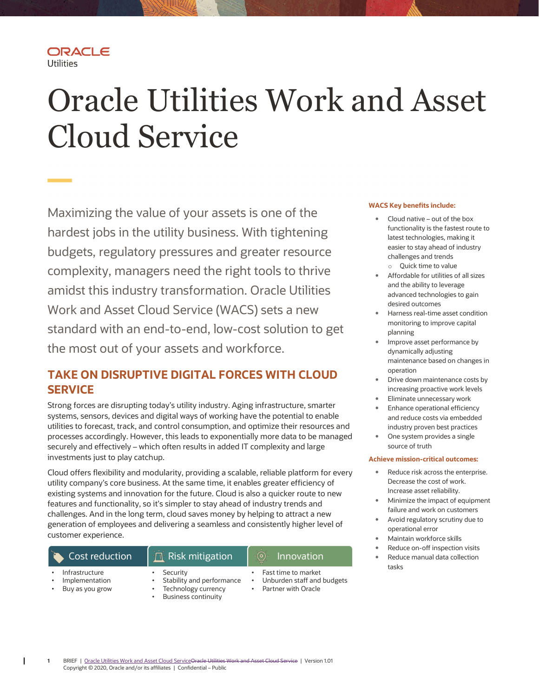# Oracle Utilities Work and Asset Cloud Service

 Maximizing the value of your assets is one of the hardest jobs in the utility business. With tightening budgets, regulatory pressures and greater resource complexity, managers need the right tools to thrive amidst this industry transformation. Oracle Utilities Work and Asset Cloud Service (WACS) sets a new standard with an end-to-end, low-cost solution to get the most out of your assets and workforce.

# TAKE ON DISRUPTIVE DIGITAL FORCES WITH CLOUD **SERVICE**

 Strong forces are disrupting today's utility industry. Aging infrastructure, smarter systems, sensors, devices and digital ways of working have the potential to enable utilities to forecast, track, and control consumption, and optimize their resources and processes accordingly. However, this leads to exponentially more data to be managed securely and effectively – which often results in added IT complexity and large investments just to play catchup.

 Cloud offers flexibility and modularity, providing a scalable, reliable platform for every utility company's core business. At the same time, it enables greater efficiency of existing systems and innovation for the future. Cloud is also a quicker route to new features and functionality, so it's simpler to stay ahead of industry trends and challenges. And in the long term, cloud saves money by helping to attract a new generation of employees and delivering a seamless and consistently higher level of customer experience.

## • Infrastructure • Security • Fast time to market Cost reduction  $\|\mathbf{n}\|$  Risk mitigation  $\|\mathbf{0}\|$  Innovation Implementation • Stability and performance

Buy as you grow

ORACLE

**Utilities** 

- - Business continuity
- Unburden staff and budgets
- 
- Technology currency Partner with Oracle

#### WACS Key benefits include:

- Cloud native out of the box functionality is the fastest route to latest technologies, making it easier to stay ahead of industry challenges and trends o Quick time to value
- Affordable for utilities of all sizes and the ability to leverage advanced technologies to gain desired outcomes
- Harness real-time asset condition monitoring to improve capital planning
- **•** Improve asset performance by dynamically adjusting maintenance based on changes in operation
- Drive down maintenance costs by increasing proactive work levels
- Eliminate unnecessary work
- Enhance operational efficiency and reduce costs via embedded industry proven best practices
- One system provides a single source of truth

#### Achieve mission-critical outcomes:

- Reduce risk across the enterprise. Decrease the cost of work. Increase asset reliability.
- Minimize the impact of equipment failure and work on customers
- Avoid regulatory scrutiny due to operational error
- Maintain workforce skills
- Reduce on-off inspection visits Reduce manual data collection tasks

 1 BRIEF | Oracle Utilities Work and Asset Cloud ServiceOracle Utilities Work and Asset Cloud Service | Version 1.01 Copyright © 2020, Oracle and/or its affiliates | Confidential – Public